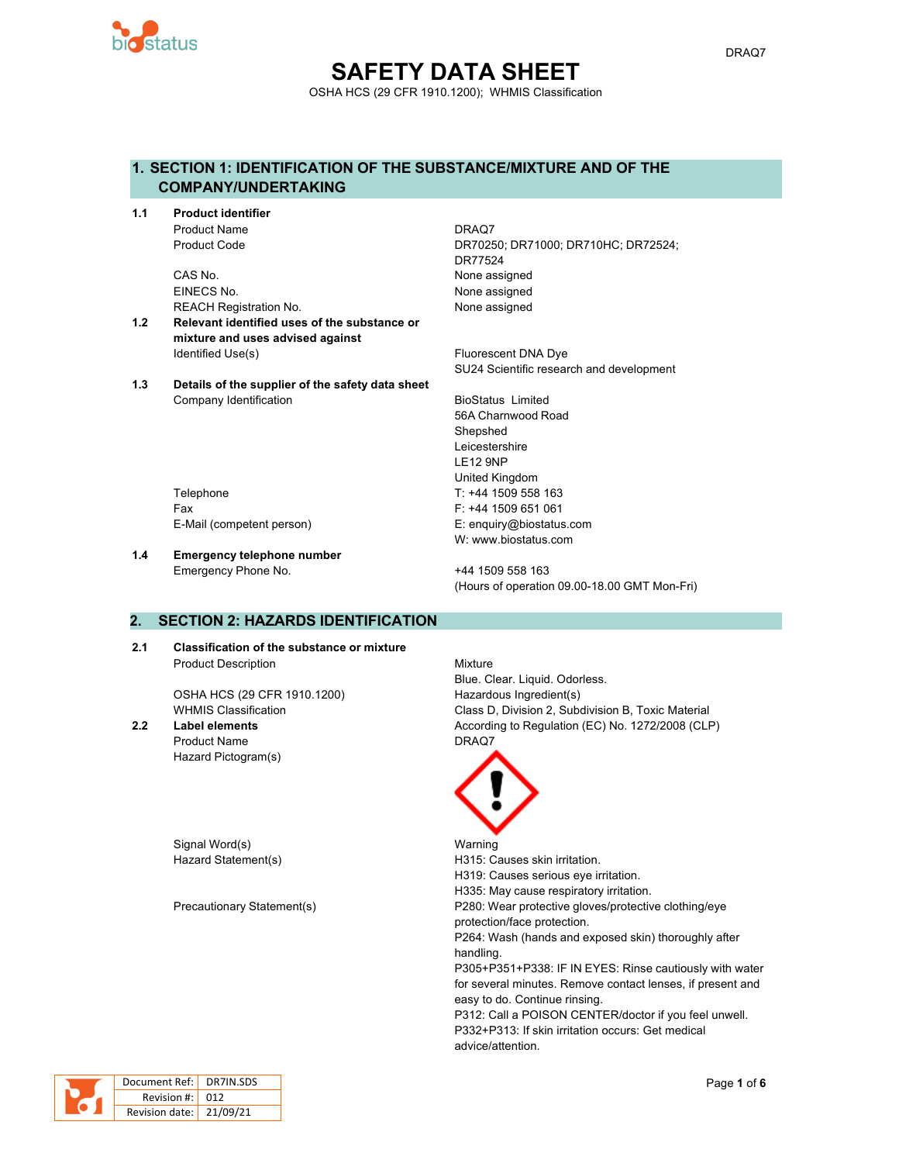

## **SAFETY DATA SHEET** OSHA HCS (29 CFR 1910.1200); WHMIS Classification

## **1. SECTION 1: IDENTIFICATION OF THE SUBSTANCE/MIXTURE AND OF THE COMPANY/UNDERTAKING**

**1.1 Product identifier** Product Name **DRAQ7** 

> CAS No. 2008 2012 12:30 None assigned EINECS No. None assigned REACH Registration No. None assigned

- **1.2 Relevant identified uses of the substance or mixture and uses advised against** Identified Use(s) The Contract of the Contract of The Fluorescent DNA Dye
- **1.3 Details of the supplier of the safety data sheet** Company Identification **BioStatus** Limited

Product Code DR70250; DR71000; DR710HC; DR72524; DR77524

SU24 Scientific research and development

56A Charnwood Road Shepshed Leicestershire LE12 9NP United Kingdom Telephone Telephone T: +44 1509 558 163 W: www.biostatus.com

Fax F: +44 1509 651 061 E-Mail (competent person) E: enquiry@biostatus.com

**1.4 Emergency telephone number** Emergency Phone No. 444 1509 558 163

(Hours of operation 09.00-18.00 GMT Mon-Fri)

## **2. SECTION 2: HAZARDS IDENTIFICATION**

**2.1 Classification of the substance or mixture** Product Description **Mixture** 

OSHA HCS (29 CFR 1910.1200) Hazardous Ingredient(s)

Product Name **DRAQ7** Hazard Pictogram(s)

Signal Word(s) National Warning

Blue. Clear. Liquid. Odorless. WHMIS Classification **Class D, Division 2, Subdivision B, Toxic Material 2.2 Label elements** According to Regulation (EC) No. 1272/2008 (CLP)



Hazard Statement(s) The Statement Statement Statement Statement Statement Statement Statement Statement Statement Statement Statement Statement Statement Statement Statement Statement Statement Statement Statement Statemen H319: Causes serious eye irritation. H335: May cause respiratory irritation. Precautionary Statement(s) P280: Wear protective gloves/protective clothing/eye protection/face protection. P264: Wash (hands and exposed skin) thoroughly after handling. P305+P351+P338: IF IN EYES: Rinse cautiously with water for several minutes. Remove contact lenses, if present and easy to do. Continue rinsing. P312: Call a POISON CENTER/doctor if you feel unwell. P332+P313: If skin irritation occurs: Get medical advice/attention.

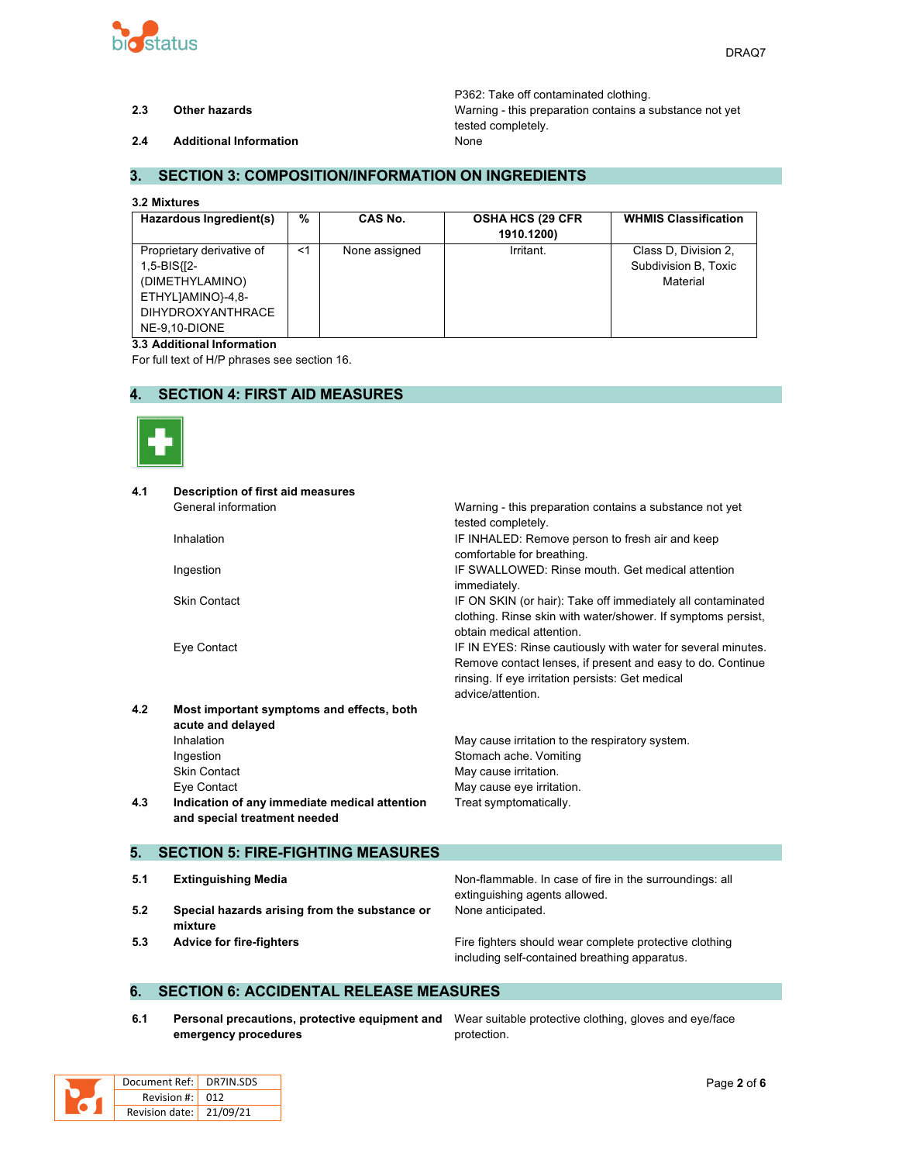

P362: Take off contaminated clothing. **2.3 Other hazards** Warning - this preparation contains a substance not yet tested completely.

**2.4 Additional Information** None

## **3. SECTION 3: COMPOSITION/INFORMATION ON INGREDIENTS**

#### **3.2 Mixtures**

| Hazardous Ingredient(s)                                                                                                       | %     | CAS No.       | <b>OSHA HCS (29 CFR)</b><br>1910.1200) | <b>WHMIS Classification</b>                              |
|-------------------------------------------------------------------------------------------------------------------------------|-------|---------------|----------------------------------------|----------------------------------------------------------|
| Proprietary derivative of<br>1,5-BIS{[2-<br>(DIMETHYLAMINO)<br>ETHYLJAMINO}-4,8-<br><b>DIHYDROXYANTHRACE</b><br>NE-9.10-DIONE | $<$ 1 | None assigned | Irritant.                              | Class D, Division 2,<br>Subdivision B, Toxic<br>Material |

#### **3.3 Additional Information**

For full text of H/P phrases see section 16.

### **4. SECTION 4: FIRST AID MEASURES**



| 4.1 | <b>Description of first aid measures</b>      |                                                              |
|-----|-----------------------------------------------|--------------------------------------------------------------|
|     | General information                           | Warning - this preparation contains a substance not yet      |
|     |                                               | tested completely.                                           |
|     | Inhalation                                    | IF INHALED: Remove person to fresh air and keep              |
|     |                                               | comfortable for breathing.                                   |
|     | Ingestion                                     | IF SWALLOWED: Rinse mouth. Get medical attention             |
|     |                                               | immediately.                                                 |
|     | <b>Skin Contact</b>                           | IF ON SKIN (or hair): Take off immediately all contaminated  |
|     |                                               | clothing. Rinse skin with water/shower. If symptoms persist, |
|     |                                               | obtain medical attention.                                    |
|     | Eye Contact                                   | IF IN EYES: Rinse cautiously with water for several minutes. |
|     |                                               | Remove contact lenses, if present and easy to do. Continue   |
|     |                                               | rinsing. If eye irritation persists: Get medical             |
|     |                                               | advice/attention.                                            |
| 4.2 | Most important symptoms and effects, both     |                                                              |
|     | acute and delayed                             |                                                              |
|     | Inhalation                                    | May cause irritation to the respiratory system.              |
|     | Ingestion                                     | Stomach ache. Vomiting                                       |
|     | <b>Skin Contact</b>                           | May cause irritation.                                        |
|     | Eye Contact                                   | May cause eye irritation.                                    |
| 4.3 | Indication of any immediate medical attention | Treat symptomatically.                                       |
|     | and special treatment needed                  |                                                              |
| 5.  | <b>SECTION 5: FIRE-FIGHTING MEASURES</b>      |                                                              |
|     |                                               |                                                              |
| 5.1 | <b>Extinguishing Media</b>                    | Non-flammable. In case of fire in the surroundings: all      |
|     |                                               | extinguishing agents allowed.                                |
| 5.2 | Special hazards arising from the substance or | None anticipated.                                            |

**5.3 Advice for fire-fighters Fire fighters Fire fighters** should wear complete protective clothing including self-contained breathing apparatus.

#### **6. SECTION 6: ACCIDENTAL RELEASE MEASURES**

**6.1 Personal precautions, protective equipment and** Wear suitable protective clothing, gloves and eye/face **emergency procedures**

protection.

| Document Ref:   DR7IN.SDS |  |
|---------------------------|--|
| Revision #: 012           |  |
| Revision date: 21/09/21   |  |

**mixture**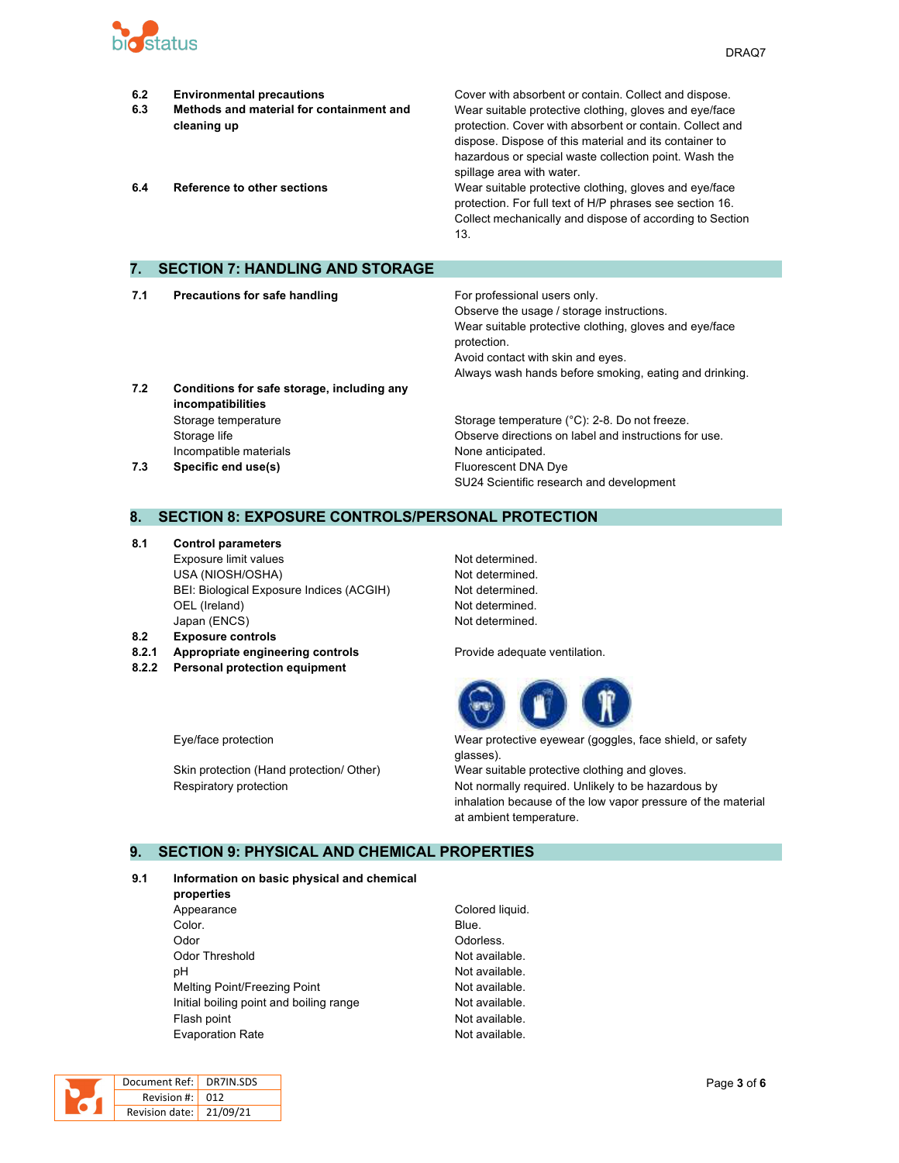

| 6.2<br>6.3<br>6.4 | <b>Environmental precautions</b><br>Methods and material for containment and<br>cleaning up<br>Reference to other sections | Cover with absorbent or contain. Collect and dispose.<br>Wear suitable protective clothing, gloves and eye/face<br>protection. Cover with absorbent or contain. Collect and<br>dispose. Dispose of this material and its container to<br>hazardous or special waste collection point. Wash the<br>spillage area with water.<br>Wear suitable protective clothing, gloves and eye/face<br>protection. For full text of H/P phrases see section 16.<br>Collect mechanically and dispose of according to Section<br>13. |
|-------------------|----------------------------------------------------------------------------------------------------------------------------|----------------------------------------------------------------------------------------------------------------------------------------------------------------------------------------------------------------------------------------------------------------------------------------------------------------------------------------------------------------------------------------------------------------------------------------------------------------------------------------------------------------------|
| 7.                | <b>SECTION 7: HANDLING AND STORAGE</b>                                                                                     |                                                                                                                                                                                                                                                                                                                                                                                                                                                                                                                      |
| 7.1               | <b>Precautions for safe handling</b>                                                                                       | For professional users only.<br>Observe the usage / storage instructions.<br>Wear suitable protective clothing, gloves and eye/face                                                                                                                                                                                                                                                                                                                                                                                  |

**7.2 Conditions for safe storage, including any incompatibilities** Storage temperature **Storage temperature** (°C): 2-8. Do not freeze. Storage life Observe directions on label and instructions for use. Incompatible materials **None anticipated**.

## **7.3 Specific end use(s) Eluorescent DNA Dye** SU24 Scientific research and development

Avoid contact with skin and eyes.

Always wash hands before smoking, eating and drinking.

protection.

#### **8. SECTION 8: EXPOSURE CONTROLS/PERSONAL PROTECTION**

- **8.1 Control parameters** Exposure limit values Not determined. USA (NIOSH/OSHA) Not determined. BEI: Biological Exposure Indices (ACGIH) Not determined. OEL (Ireland) Not determined. Japan (ENCS) Not determined.
- **8.2 Exposure controls**
- **8.2.1 Appropriate engineering controls** Provide adequate ventilation.
- **8.2.2 Personal protection equipment**



Eye/face protection Wear protective eyewear (goggles, face shield, or safety glasses).

Skin protection (Hand protection/ Other) Wear suitable protective clothing and gloves. Respiratory protection **Not normally required.** Unlikely to be hazardous by inhalation because of the low vapor pressure of the material at ambient temperature.

## **9. SECTION 9: PHYSICAL AND CHEMICAL PROPERTIES**

#### **9.1 Information on basic physical and chemical**

- **properties** Appearance Colored liquid. **Color.** Blue. Odor Odorless. Odor Threshold **Not available**. pH Not available. Melting Point/Freezing Point Not available. Initial boiling point and boiling range Not available. Flash point **Not available**. Evaporation Rate **Not available**.
	-

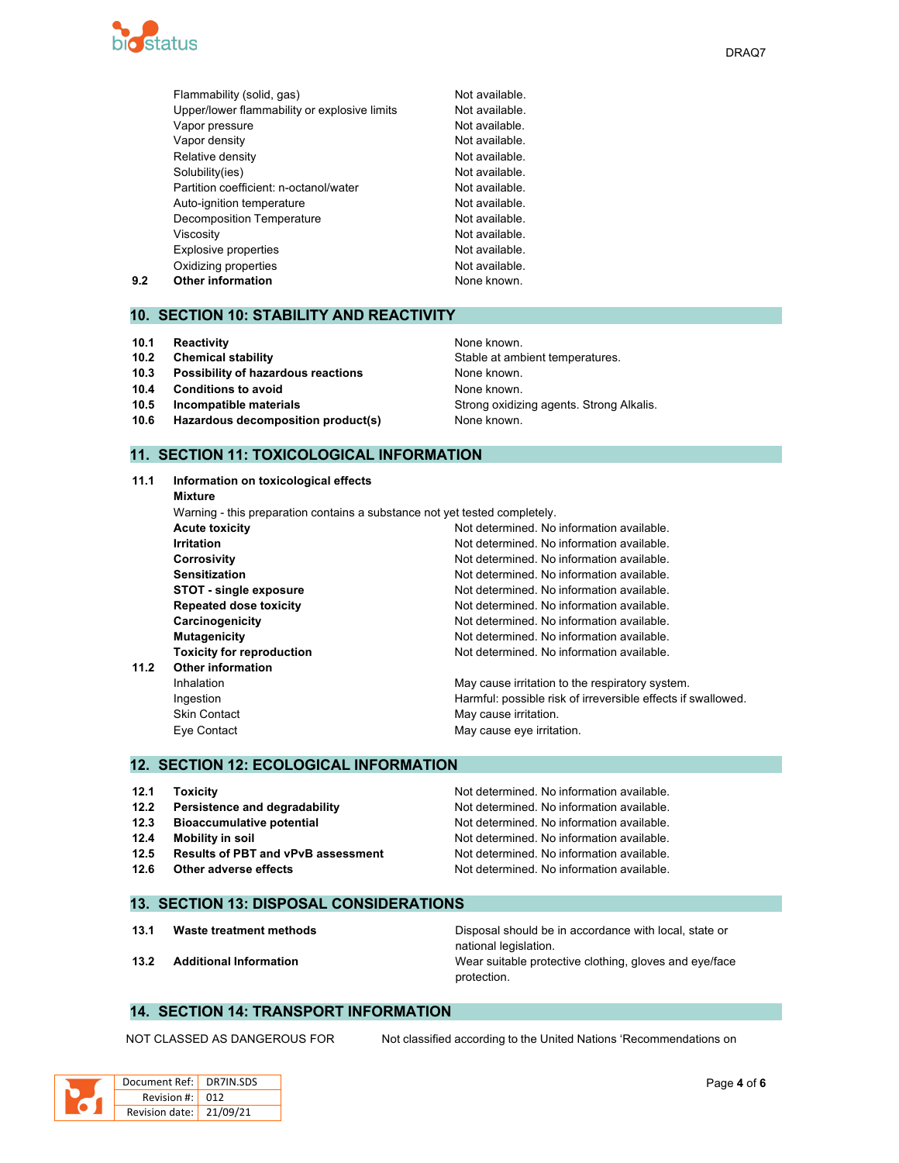

|     | Flammability (solid, gas)                    | Not available. |
|-----|----------------------------------------------|----------------|
|     | Upper/lower flammability or explosive limits | Not available. |
|     | Vapor pressure                               | Not available. |
|     | Vapor density                                | Not available. |
|     | Relative density                             | Not available. |
|     | Solubility(ies)                              | Not available. |
|     | Partition coefficient: n-octanol/water       | Not available. |
|     | Auto-ignition temperature                    | Not available. |
|     | Decomposition Temperature                    | Not available. |
|     | Viscosity                                    | Not available. |
|     | Explosive properties                         | Not available. |
|     | Oxidizing properties                         | Not available. |
| 9.2 | <b>Other information</b>                     | None known.    |

#### **10. SECTION 10: STABILITY AND REACTIVITY**

- **10.1 Reactivity None known.** None known.
- 
- **10.3 Possibility of hazardous reactions** None known.
- **10.4 Conditions to avoid None known.**
- 
- **10.6 Hazardous decomposition product(s)** None known.

# **10.2 Chemical stability 10.2 Chemical stability** Stable at ambient temperatures. **10.5 Incompatible materials 10.5 Incompatible materials** Strong **Strong oxidizing agents. Strong Alkalis.**

## **11. SECTION 11: TOXICOLOGICAL INFORMATION**

| 11.1 | Information on toxicological effects                                       |                                                              |  |  |  |
|------|----------------------------------------------------------------------------|--------------------------------------------------------------|--|--|--|
|      | Mixture                                                                    |                                                              |  |  |  |
|      | Warning - this preparation contains a substance not yet tested completely. |                                                              |  |  |  |
|      | <b>Acute toxicity</b>                                                      | Not determined. No information available.                    |  |  |  |
|      | <b>Irritation</b>                                                          | Not determined. No information available.                    |  |  |  |
|      | <b>Corrosivity</b>                                                         | Not determined. No information available.                    |  |  |  |
|      | <b>Sensitization</b>                                                       | Not determined. No information available.                    |  |  |  |
|      | <b>STOT - single exposure</b>                                              | Not determined. No information available.                    |  |  |  |
|      | <b>Repeated dose toxicity</b>                                              | Not determined. No information available.                    |  |  |  |
|      | Carcinogenicity                                                            | Not determined. No information available.                    |  |  |  |
|      | <b>Mutagenicity</b>                                                        | Not determined. No information available.                    |  |  |  |
|      | <b>Toxicity for reproduction</b>                                           | Not determined. No information available.                    |  |  |  |
| 11.2 | <b>Other information</b>                                                   |                                                              |  |  |  |
|      | <b>Inhalation</b>                                                          | May cause irritation to the respiratory system.              |  |  |  |
|      | Ingestion                                                                  | Harmful: possible risk of irreversible effects if swallowed. |  |  |  |
|      | <b>Skin Contact</b>                                                        | May cause irritation.                                        |  |  |  |
|      | Eye Contact                                                                | May cause eye irritation.                                    |  |  |  |
|      |                                                                            |                                                              |  |  |  |

#### **12. SECTION 12: ECOLOGICAL INFORMATION**

| 12.1 | <b>Toxicity</b>                           | Not determined. No information available. |
|------|-------------------------------------------|-------------------------------------------|
| 12.2 | Persistence and degradability             | Not determined. No information available. |
| 12.3 | <b>Bioaccumulative potential</b>          | Not determined. No information available. |
| 12.4 | Mobility in soil                          | Not determined. No information available. |
| 12.5 | <b>Results of PBT and vPvB assessment</b> | Not determined. No information available. |
| 12.6 | Other adverse effects                     | Not determined. No information available. |

#### **13. SECTION 13: DISPOSAL CONSIDERATIONS**

**13.1 Waste treatment methods** Disposal should be in accordance with local, state or national legislation. **13.2 Additional Information** Wear suitable protective clothing, gloves and eye/face protection.

## **14. SECTION 14: TRANSPORT INFORMATION**

NOT CLASSED AS DANGEROUS FOR Not classified according to the United Nations 'Recommendations on

|  | Document Ref:   DR7IN.SDS |  |
|--|---------------------------|--|
|  | Revision $\#$ : 012       |  |
|  | Revision date: 21/09/21   |  |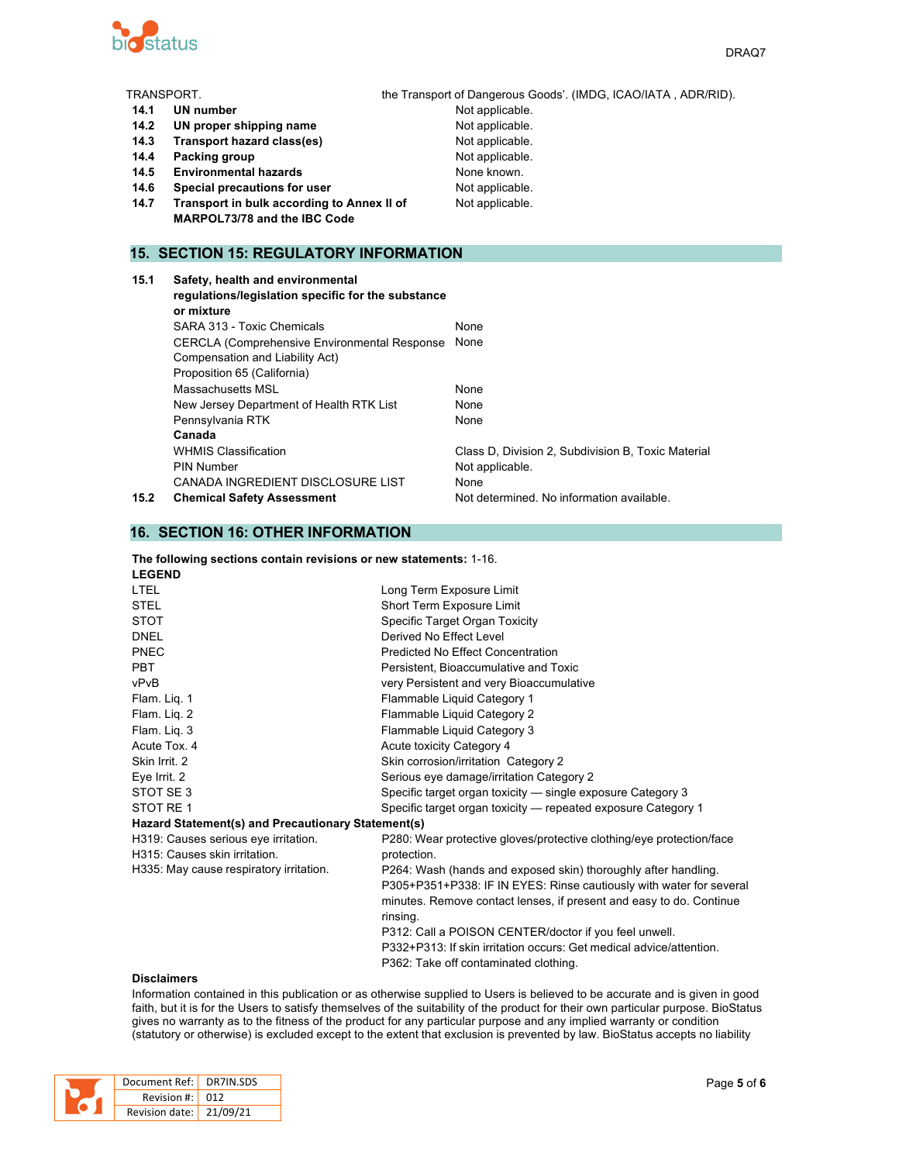

|      | TRANSPORT.                                                                             | the Transport of Dangerous Goods'. (IMDG, ICAO/IATA, ADR/RID). |
|------|----------------------------------------------------------------------------------------|----------------------------------------------------------------|
| 14.1 | <b>UN number</b>                                                                       | Not applicable.                                                |
| 14.2 | UN proper shipping name                                                                | Not applicable.                                                |
| 14.3 | Transport hazard class(es)                                                             | Not applicable.                                                |
| 14.4 | Packing group                                                                          | Not applicable.                                                |
| 14.5 | <b>Environmental hazards</b>                                                           | None known.                                                    |
| 14.6 | Special precautions for user                                                           | Not applicable.                                                |
| 14.7 | Transport in bulk according to Annex II of                                             | Not applicable.                                                |
|      | MARPOL73/78 and the IBC Code                                                           |                                                                |
|      |                                                                                        |                                                                |
|      | <b>15. SECTION 15: REGULATORY INFORMATION</b>                                          |                                                                |
| 15.1 | Safety, health and environmental<br>regulations/legislation specific for the substance |                                                                |

|      | or mixture                                           |                                                    |
|------|------------------------------------------------------|----------------------------------------------------|
|      | SARA 313 - Toxic Chemicals                           | None                                               |
|      | <b>CERCLA (Comprehensive Environmental Response)</b> | None                                               |
|      | Compensation and Liability Act)                      |                                                    |
|      | Proposition 65 (California)                          |                                                    |
|      | Massachusetts MSL                                    | None                                               |
|      | New Jersey Department of Health RTK List             | None                                               |
|      | Pennsylvania RTK                                     | None                                               |
|      | Canada                                               |                                                    |
|      | <b>WHMIS Classification</b>                          | Class D, Division 2, Subdivision B, Toxic Material |
|      | <b>PIN Number</b>                                    | Not applicable.                                    |
|      | CANADA INGREDIENT DISCLOSURE LIST                    | None                                               |
| 15.2 | <b>Chemical Safety Assessment</b>                    | Not determined. No information available.          |
|      |                                                      |                                                    |

## **16. SECTION 16: OTHER INFORMATION**

| The following sections contain revisions or new statements: 1-16. |  |  |
|-------------------------------------------------------------------|--|--|
| $\mathbf{r}$ = $\mathbf{r}$ = $\mathbf{r}$                        |  |  |

| <b>LEGEND</b>                                      |                                                                                 |
|----------------------------------------------------|---------------------------------------------------------------------------------|
| <b>LTEL</b>                                        | Long Term Exposure Limit                                                        |
| <b>STEL</b>                                        | Short Term Exposure Limit                                                       |
| <b>STOT</b>                                        | Specific Target Organ Toxicity                                                  |
| <b>DNEL</b>                                        | Derived No Effect Level                                                         |
| PNEC                                               | Predicted No Effect Concentration                                               |
| <b>PBT</b>                                         | Persistent, Bioaccumulative and Toxic                                           |
| vPvB                                               | very Persistent and very Bioaccumulative                                        |
| Flam. Liq. 1                                       | Flammable Liquid Category 1                                                     |
| Flam. Lig. 2                                       | Flammable Liquid Category 2                                                     |
| Flam. Liq. 3                                       | Flammable Liquid Category 3                                                     |
| Acute Tox, 4                                       | Acute toxicity Category 4                                                       |
| Skin Irrit. 2                                      | Skin corrosion/irritation Category 2                                            |
| Eye Irrit. 2                                       | Serious eye damage/irritation Category 2                                        |
| STOT SE3                                           | Specific target organ toxicity - single exposure Category 3                     |
| STOT RE 1                                          | Specific target organ toxicity — repeated exposure Category 1                   |
| Hazard Statement(s) and Precautionary Statement(s) |                                                                                 |
| H319: Causes serious eye irritation.               | P280: Wear protective gloves/protective clothing/eye protection/face            |
| H315: Causes skin irritation.                      | protection.                                                                     |
| H335: May cause respiratory irritation.            | P264: Wash (hands and exposed skin) thoroughly after handling.                  |
|                                                    | P305+P351+P338: IF IN EYES: Rinse cautiously with water for several             |
|                                                    | minutes. Remove contact lenses, if present and easy to do. Continue<br>rinsing. |
|                                                    | P312: Call a POISON CENTER/doctor if you feel unwell.                           |
|                                                    | P332+P313: If skin irritation occurs: Get medical advice/attention.             |
|                                                    | P362: Take off contaminated clothing.                                           |
|                                                    |                                                                                 |

#### **Disclaimers**

Information contained in this publication or as otherwise supplied to Users is believed to be accurate and is given in good faith, but it is for the Users to satisfy themselves of the suitability of the product for their own particular purpose. BioStatus gives no warranty as to the fitness of the product for any particular purpose and any implied warranty or condition (statutory or otherwise) is excluded except to the extent that exclusion is prevented by law. BioStatus accepts no liability

|  | Document Ref: DR7IN.SDS             |  |
|--|-------------------------------------|--|
|  | Revision #: 012                     |  |
|  | Revision date: $\frac{1}{21/09/21}$ |  |